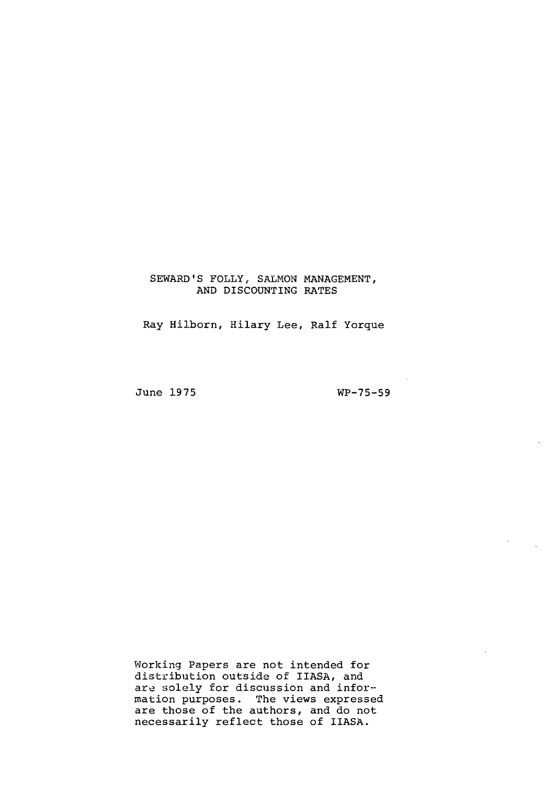## SEWARD'S FOLLY, SALMON MANAGEMENT, AND DISCOUNTING RATES

Ray Hilborn, Hilary Lee, Ralf Yorque

June 1975 WP-75-59

Working Papers are not intended for distribution outside of IIASA, and are solely for discussion and information purposes. The views expressed are those of the authors, and do not necessarily reflect those of IIASA.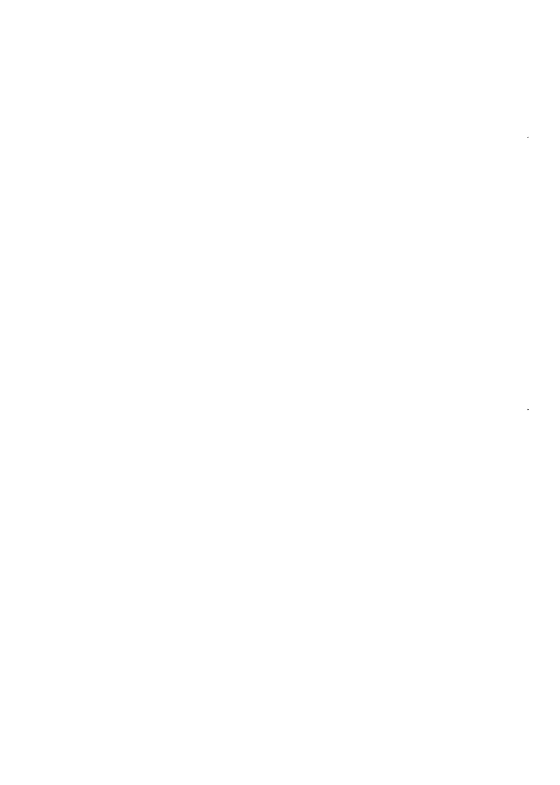$\epsilon$  $\star$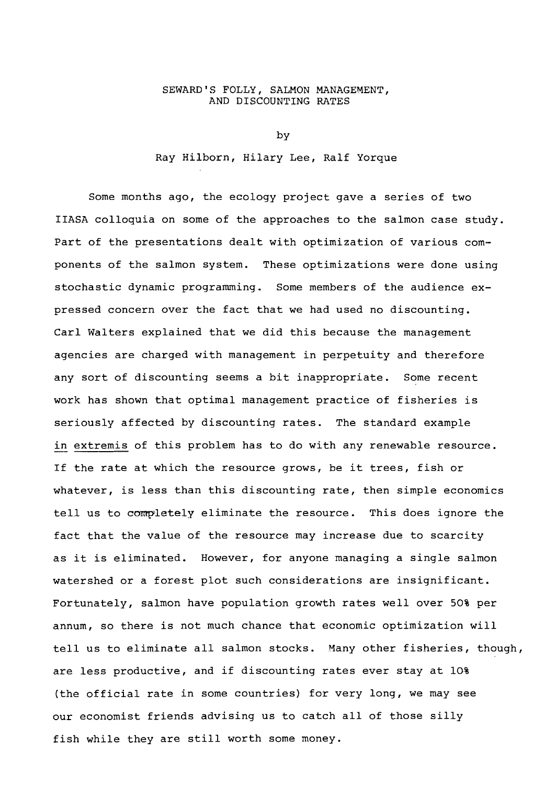## SEWARD'S FOLLY, SALMON MANAGEMENT, AND DISCOUNTING RATES

by

## Ray Hilborn, Hilary Lee, Ralf Yorque

Some months ago, the ecology project gave a series of two IIASA colloquia on some of the approaches to the salmon case study. Part of the presentations dealt with optimization of various components of the salmon system. These optimizations were done using stochastic dynamic programming. Some members of the audience expressed concern over the fact that we had used no discounting. Carl Walters explained that we did this because the management agencies are charged with management in perpetuity and therefore any sort of discounting seems <sup>a</sup> bit inappropriate. Some recent work has shown that optimal management practice of fisheries is seriously affected by discounting rates. The standard example in extremis of this problem has to do with any renewable resource. If the rate at which the resource grows, be it trees, fish or whatever, is less than this discounting rate, then simple economics tell us to completely eliminate the resource. This does ignore the fact that the value of the resource may increase due to scarcity as it is eliminated. However, for anyone managing <sup>a</sup> single salmon watershed or a forest plot such considerations are insignificant. Fortunately, salmon have population growth rates well over 50% per annum, so there is not much chance that economic optimization will tell us to eliminate all salmon stocks. Many other fisheries, though, are less productive, and if discounting rates ever stay at 10% (the official rate in some countries) for very long, we may see our economist friends advising us to catch all of those silly fish while they are still worth some money.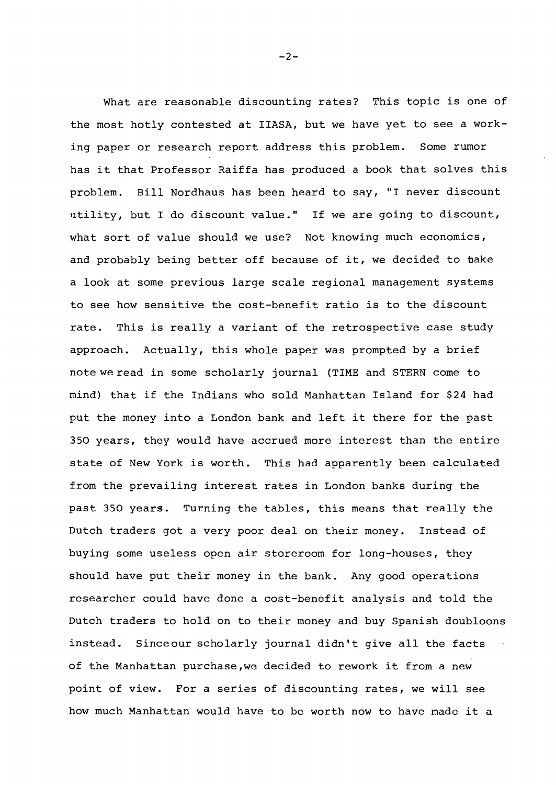What are reasonable discounting rates? This topic is one of the most hotly contested at IIASA, but we have yet to see <sup>a</sup> working paper or research report address this problem. Some rumor has it that Professor Raiffa has produced <sup>a</sup> book that solves this problem. Bill Nordhaus has been heard to say, "I never discount utility, but <sup>I</sup> do discount value." If we are going to discount, what sort of value should we use? Not knowing much economics, and probably being better off because of it, we decided to bake <sup>a</sup> look at some previous large scale regional management systems to see how sensitive the cost-benefit ratio is to the discount rate. This is really <sup>a</sup> variant of the retrospective case study approach. Actually, this whole paper was prompted by <sup>a</sup> brief note we read in some scholarly journal (TIME and STERN come to mind) that if the Indians who sold Manhattan Island for \$24 had put the money into <sup>a</sup> London bank and left it there for the past 350 years, they would have accrued more interest than the entire state of New York is worth. This had apparently been calculated from the prevailing interest rates in London banks during the past 350 years. Turning the tables, this means that really the Dutch traders got <sup>a</sup> very poor deal on their money. Instead of buying some useless open air storeroom for long-houses, they should have put their money in the bank. Any good operations researcher could have done a cost-benefit analysis and told the Dutch traders to hold on to their money and buy Spanish doubloons instead. Sinceour scholarly journal didn't give all the facts of the Manhattan purchase,we decided to rework it from <sup>a</sup> new point of view. For <sup>a</sup> series of discounting rates, we will see how much Manhattan would have to be worth now to have made it <sup>a</sup>

 $-2-$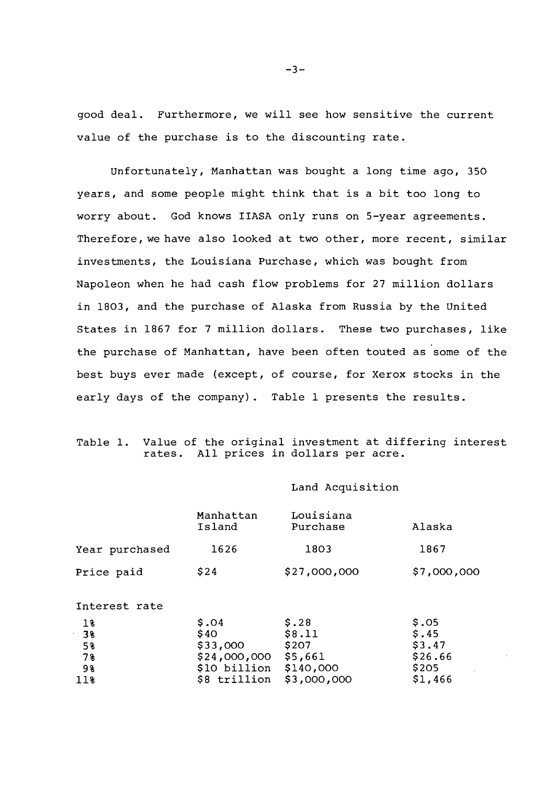good deal. Furthermore, we will see how sensitive the current value of the purchase is to the discounting rate.

Unfortunately, Manhattan was bought a long time ago, 350 years, and some people might think that is <sup>a</sup> bit too long to worry about. God knows IIASA only runs on 5-year agreements. Therefore, we have also looked at two other, more recent, similar investments, the Louisiana Purchase, which was bought from Napoleon when he had cash flow problems for 27 million dollars in 1803, and the purchase of Alaska from Russia by the United States in 1867 for <sup>7</sup> million dollars. These two purchases, like , the purchase of Manhattan, have been often touted as some of the best buys ever made (except, of course, for Xerox stocks in the early days of the company). Table <sup>1</sup> presents the results.

Table 1. Value of the original investment at differing interest rates. All prices in dollars per acre.

## Land Acquisition

|                                                                  | Manhattan<br>Island                                                       | Louisiana<br>Purchase                                           | Alaska                                                  |
|------------------------------------------------------------------|---------------------------------------------------------------------------|-----------------------------------------------------------------|---------------------------------------------------------|
| Year purchased                                                   | 1626                                                                      | 1803                                                            | 1867                                                    |
| Price paid                                                       | \$24                                                                      | \$27,000,000                                                    | \$7,000,000                                             |
| Interest rate                                                    |                                                                           |                                                                 |                                                         |
| 18<br>∴3 Տ<br>5%<br>$7\,$<br>98<br>$11$ $\overline{\phantom{0}}$ | \$.04<br>\$40<br>\$33,000<br>\$24,000,000<br>\$10 billion<br>\$8 trillion | \$.28<br>\$8.11<br>\$207<br>\$5,661<br>\$140,000<br>\$3,000,000 | \$.05<br>\$.45<br>\$3.47<br>\$26.66<br>\$205<br>\$1,466 |

 $-3-$